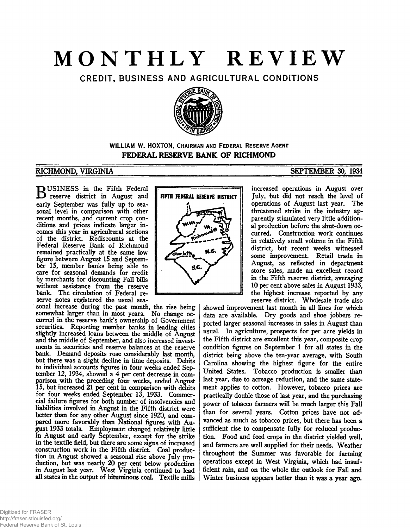## **MONTHLY REVIEW**

CREDIT, BUSINESS AND AGRICULTURAL CONDITIONS



### **WILLIAM W. HOXTON, CHAIRMAN AND FEDERAL RESERVE AGENT FEDERAL RESERVE BANK OF RICHMOND**

### **RICHMOND, VIRGINIA SEPTEMBER 30, 1934**

**BUSINESS** in the Fifth Federal<br>reserve district in August and<br>reach Section to see fully we to see reserve district in August and early September was fully up to seasonal level in comparison with other recent months, and current crop conditions and prices indicate larger incomes this year in agricultural sections of the district. Rediscounts at the Federal Reserve Bank of Richmond remained practically at the same low figure between August IS and September IS, member banks being able to care for seasonal demands for credit by merchants for discounting Fall bills without assistance from the reserve bank. The circulation of Federal reserve notes registered the usual sea-

sonal increase during the past month, the rise being somewhat larger than in most years. No change occurred in the reserve bank's ownership of Government securities. Reporting member banks in leading cities slightly increased loans between the middle of August and the middle of September, and also increased investments in securities and reserve balances at the reserve bank. Demand deposits rose considerably last month, but there was a slight decline in time deposits. Debits to individual accounts figures in four weeks ended September 12, 1934, showed a 4 per cent decrease in comparison with the preceding four weeks, ended August IS, but increased 21 per cent in comparison with debits for four weeks ended September 13, 1933. Commercial failure figures for both number of insolvencies and liabilities involved in August in the Fifth district were better than for any other August since 1920, and compared more favorably than National figures with August 1933 totals. Employment changed relatively little in August and early September, except for the strike in the textile field, but there are some signs of increased construction work in the Fifth district. Coal production in August showed a seasonal rise above July production, but was nearly 20 per cent below production in August last year. West Virginia continued to lead all states in the output of bituminous coal. Textile mills

# FIFTH FEDERAL RESERVE DISTRICT S.C.

increased operations in August over July, but did not reach the level of operations of August last year. The threatened strike in the industry apparently stimulated very little additional production before the shut-down occurred. Construction work continues in relatively small volume in the Fifth district, but recent weeks witnessed some improvement. Retail trade in August, as reflected in department store sales, made an excellent record in the Fifth reserve district, averaging 10 per cent above sales in August 1933, the highest increase reported by any reserve district. Wholesale trade also

showed improvement last month in all lines for which data are available. Dry goods and shoe jobbers reported larger seasonal increases in sales in August than usual. In agriculture, prospects for per acre yields in the Fifth district are excellent this year, composite crop condition figures on September 1 for all states in the district being above the ten-year average, with South Carolina showing the highest figure for the entire United States. Tobacco production is smaller than last year, due to acreage reduction, and the same statement applies to cotton. However, tobacco prices are practically double those of last year, and the purchasing power of tobacco farmers will be much larger this Fall than for several years. Cotton prices have not advanced as much as tobacco prices, but there has been a sufficient rise to compensate fully for reduced production. Food and feed crops in the district yielded well, and farmers are well supplied for their needs. Weather throughout the Summer was favorable for farming operations except in West Virginia, which had insufficient rain, and on the whole the outlook for Fall and Winter business appears better than it was a year ago.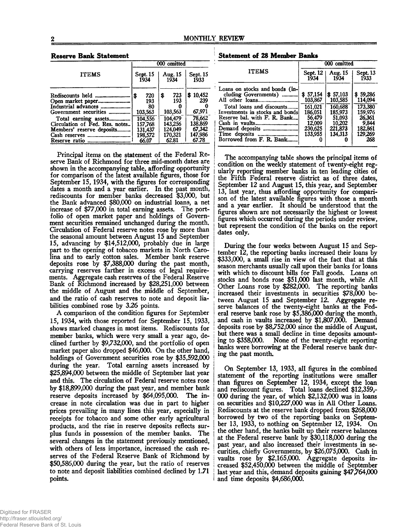#### **Reserve Bank Statement**

|                                                                                                                                                                                                                         | 000 omitted                                                                           |                                                                                  |                                                                              |  |  |
|-------------------------------------------------------------------------------------------------------------------------------------------------------------------------------------------------------------------------|---------------------------------------------------------------------------------------|----------------------------------------------------------------------------------|------------------------------------------------------------------------------|--|--|
| <b>ITEMS</b>                                                                                                                                                                                                            | Sept. 15<br>1934                                                                      | Aug. 15<br>1934                                                                  | Sept. 15<br>1933                                                             |  |  |
| Rediscounts held ……………………<br>Industrial advances<br>Government securities<br>Total earning assets<br>Circulation of Fed. Res. notes<br>Members' reserve deposits<br>Cash reserves<br>---------------------------------- | 720<br>S<br>193<br>80<br>103,563<br>104.556<br>157.768<br>131.437<br>198,572<br>66.07 | 723<br>\$<br>193<br>103,563<br>104.479<br>143.256<br>124.049<br>170.321<br>62.81 | \$10,452<br>239<br>67,971<br>78,662<br>138,869<br>67,342<br>147,986<br>67.78 |  |  |

Principal items on the statement of the Federal Reserve Bank of Richmond for three mid-month dates are shown in the accompanying table, affording opportunity for comparison of the latest available figures, those for September IS, 1934, with the figures for corresponding dates a month and a year earlier. In the past month, rediscounts for member banks decreased \$3,000, but the Bank advanced \$80,000 on industrial loans, a net increase of \$77,000 in total earning assets. The portfolio of open market paper and holdings of Government securities remained unchanged during the month. Circulation of Federal reserve notes rose by more than the seasonal amount between August 15 and September 15, advancing by \$14,512,000, probably due in large part to the opening of tobacco markets in North Carolina and to early cotton sales. Member bank reserve deposits rose by \$7,388,000 during the past month, carrying reserves farther in excess of legal requirements. Aggregate cash reserves of the Federal Reserve Bank of Richmond increased by \$28,251,000 between the middle of August and the middle of September, and the ratio of cash reserves to note and deposit liabilities combined rose by 3.26 points.

A comparison of the condition figures for September 15, 1934, with those reported for September 15, 1933, shows marked changes in most items. Rediscounts for member banks, which were very small a year ago, declined further by \$9,732,000, and the portfolio of open market paper also dropped \$46,000. On the other hand, holdings of Government securities rose by \$35,592,000 during the year. Total earning assets increased by \$25,894,000 between the middle of September last year and this. The circulation of Federal reserve notes rose by \$18,899,000 during the past year, and member bank reserve deposits increased by \$64,095,000. The increase in note circulation was due in part to higher prices prevailing in many lines this year, especially in receipts for tobacco and some other early agricultural products, and the rise in reserve deposits reflects surplus funds in possession of the member banks. The several changes in the statement previously mentioned, with others of less importance, increased the cash reserves of the Federal Reserve Bank of Richmond by \$50,586,000 during the year, but the ratio of reserves to note and deposit liabilities combined declined by 1.71 points.

**Statement of 28 Member Banks**

|                                                                                                                                                                                                       | 000 omitted                                                                         |                                                                                     |                                                                                           |  |
|-------------------------------------------------------------------------------------------------------------------------------------------------------------------------------------------------------|-------------------------------------------------------------------------------------|-------------------------------------------------------------------------------------|-------------------------------------------------------------------------------------------|--|
| <b>ITEMS</b>                                                                                                                                                                                          | Sept. 12<br>1934                                                                    | Aug. 15<br>1934                                                                     | Sept. 13<br>1933                                                                          |  |
| Loans on stocks and bonds (in-<br>cluding Governments)<br>All other loans<br>Total loans and discounts<br>Investments in stocks and bonds<br>Reserve bal. with F. R. Bank<br>Borrowed from F. R. Bank | \$57,154<br>103,867<br>161.021<br>186.051<br>56.479<br>12.009<br>230.625<br>133.955 | \$57,103<br>103,585<br>160.688<br>185,973<br>51.093<br>10.202<br>221.873<br>134.313 | \$59,286<br>114,094<br>173.380<br>159.976<br>26.361<br>9,844<br>182,861<br>129,269<br>268 |  |

The accompanying table shows the principal items of condition on the weekly statement of twenty-eight regularly reporting member banks in ten leading cities of the Fifth Federal reserve district as of three dates, September 12 and August 15, this year, and September 13, last year, thus affording opportunity for comparison of the latest available figures with those a month and a year earlier. It should be understood that the figures shown are not necessarily the highest or lowest figures which occurred during the periods under review, but represent the condition of the banks on the report dates only.

During the four weeks between August 15 and September 12, the reporting banks increased their loans by \$333,000, a small rise in view of the fact that at this season merchants usually call upon their banks for loans with which to discount bills for Fall goods. Loans on stocks and bonds rose \$51,000 last month, while All Other Loans rose by \$282,000. The reporting banks increased their investments in securities \$78,000 between August 15 and September 12. Aggregate reserve balances of the twenty-eight banks at the Federal reserve bank rose by \$5,386,000 during the month, and cash in vaults increased by \$1,807,000. Demand deposits rose by \$8,752,000 since the middle of August, but there was a small decline in time deposits amount-<br>ing to \$358,000. None of the twenty-eight reporting None of the twenty-eight reporting banks were borrowing at the Federal reserve bank during the past month.

On September 13, 1933, all figures in the combined statement of the reporting institutions were smaller than figures on September 12, 1934, except the loan and rediscount figures. Total loans declined \$12,359,- 000 during the year, of which \$2,132,000 was in loans on securities and \$10,227,000 was in All Other Loans. Rediscounts at the reserve bank dropped from \$268,000 borrowed by two of the reporting banks on September 13, 1933, to nothing on September 12, 1934. On the other hand, the banks built up their reserve balances at the Federal reserve bank by \$30,118,000 during the past year, and also increased their investments in securities, chiefly Governments, by \$26,075,000. Cash in vaults rose by \$2,165,000. Aggregate deposits in-**<sup>I</sup>**creased \$52,450,000 between the middle of September last year and this, demand deposits gaining \$47,764,000 and time deposits \$4,686,000.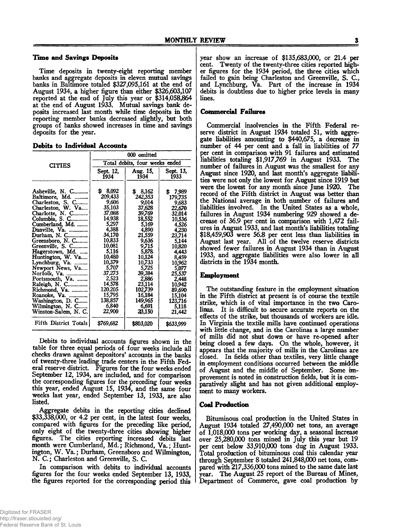#### **Time and Savings Deposits**

Time deposits in twenty-eight reporting member banks and aggregate deposits in eleven mutual savings banks in Baltimore totaled \$327,095,161 at the end of August 1934, a higher figure than either \$326,603,107 reported at the end of July this year or \$314,058,864 at the end of August 1933. Mutual savings bank deposits increased last month while time deposits in the reporting member banks decreased slightly, but both groups of banks showed increases in time and savings deposits for the year.

|  | Debits to Individual Accounts |  |
|--|-------------------------------|--|
|  |                               |  |

|                                                                                                                                                                                                                                                                                                                                                                                                                                                | 000 omitted                                                                                                                                                                                                                        |                                                                                                                                                                                                                             |                                                                                                                                                                                                                                  |  |  |
|------------------------------------------------------------------------------------------------------------------------------------------------------------------------------------------------------------------------------------------------------------------------------------------------------------------------------------------------------------------------------------------------------------------------------------------------|------------------------------------------------------------------------------------------------------------------------------------------------------------------------------------------------------------------------------------|-----------------------------------------------------------------------------------------------------------------------------------------------------------------------------------------------------------------------------|----------------------------------------------------------------------------------------------------------------------------------------------------------------------------------------------------------------------------------|--|--|
| <b>CITIES</b>                                                                                                                                                                                                                                                                                                                                                                                                                                  | Total debits, four weeks ended                                                                                                                                                                                                     |                                                                                                                                                                                                                             |                                                                                                                                                                                                                                  |  |  |
|                                                                                                                                                                                                                                                                                                                                                                                                                                                | Sept. 12.<br>1934                                                                                                                                                                                                                  | Aug. 15,<br>1934                                                                                                                                                                                                            | Sept. 13,<br>1933                                                                                                                                                                                                                |  |  |
| Asheville, N. C<br>Baltimore, Md.<br>Charleston, S. C<br>Charleston, W. Va<br>Charlotte, N. C<br>Columbia, S. C<br>Cumberland, Md.<br>Danville, Va.<br>Durham, N. C<br>Greensboro, N. C<br>Greenville, S. C<br>Hagerstown, Md.<br>Huntington, W. Va<br>Lynchburg, Va.<br>Newport News, Va<br>Norfolk, Va.<br>Portsmouth, Va.<br>Raleigh, N. C<br>Richmond, Va.<br>Roanoke, Va.<br>Washington, D. C<br>Wilmington, N. C<br>Winston-Salem, N. C. | 8,092<br>S<br>209,433<br>9,606<br>35,103<br>37,088<br>14,938<br>5,297<br>4,388<br>34,170<br>10,833<br>10,081<br>5,116<br>10,480<br>10.379<br>5,707<br>37,273<br>2.523<br>14,578<br>120.205<br>15,795<br>138,857<br>6.840<br>22,900 | 8,162<br>242,353<br>9,014<br>37,628<br>39,769<br>18,552<br>5,169<br>4,890<br>21,559<br>9,636<br>9,715<br>5,878<br>10.124<br>10,733<br>5,725<br>39,384<br>2,886<br>23,114<br>102,739<br>16,184<br>149,965<br>6.691<br>23,150 | 7,989<br>\$<br>179,735<br>9,683<br>22,670<br>32,014<br>10,536<br>4,526<br>4,230<br>23,714<br>5,144<br>10,820<br>4.443<br>8,459<br>10,962<br>5,077<br>25,537<br>2,448<br>10,942<br>89,690<br>15,104<br>123,716<br>5,118<br>21,442 |  |  |
| Fifth District Totals                                                                                                                                                                                                                                                                                                                                                                                                                          | \$769,682                                                                                                                                                                                                                          | \$803,020                                                                                                                                                                                                                   | \$633,999                                                                                                                                                                                                                        |  |  |

Debits to individual accounts figures shown in the table for three equal periods of four weeks include all checks drawn against depositors' accounts in the banks of twenty-three leading trade centers in the Fifth Federal reserve district. Figures for the four weeks ended September 12, 1934, are included, and for comparison the corresponding figures for the preceding four weeks this year, ended August 15, 1934, and the same four weeks last year, ended September 13, 1933, are also listed.

Aggregate debits in the reporting cities declined \$33,338,000, or 4.2 per cent, in the latest four weeks, compared with figures for the preceding like period, only eight of the twenty-three cities showing higher figures. The cities reporting increased debits last month were Cumberland, Md.; Richmond, Va.; Huntington, W. Va.; Durham, Greensboro and Wilmington, N. C.; Charleston and Greenville, S. C.

In comparison with debits to individual accounts figures for the four weeks ended September 13, 1933, the figures reported for the corresponding period this

year show an increase of \$135,683,000, or 21.4 per cent. Twenty of the twenty-three cities reported higher figures for the 1934 period, the three cities which failed to gain being Charleston and Greenville, S. C., and Lynchburg, Va. Part of the increase in 1934 debits is doubtless due to higher price levels in many lines.

#### **Commercial Failures**

Commercial insolvencies in the Fifth Federal reserve district in August 1934 totaled 51, with aggregate liabilities amounting to \$440,675, a decrease in number of 44 per cent and a fall in liabilities of 77 per cent in comparison with 91 failures and estimated liabilities totaling \$1,917,769 in August 1933. The number of failures in August was the smallest for any August since 1920, and last month's aggregate liabilities were not only the lowest for August since 1919 but were the lowest for any month since June 1920. The record of the Fifth district in August was better than the National average in both number of failures and liabilities involved. In the United States as a whole, failures in August 1934 numbering 929 showed a decrease of 36.9 per cent in comparison with 1,472 failures in August 1933, and last month's liabilities totaling \$18,459,903 were 56.8 per cent less than liabilities in August last year. All of the twelve reserve districts showed fewer failures in August 1934 than in August 1933, and aggregate liabilities were also lower in all districts in the 1934 month.

#### **Employment**

The outstanding feature in the employment situation in the Fifth district at present is of course the textile strike, which is of vital importance in the two Carolinas. It is difficult to secure accurate reports on the effects of the strike, but thousands of workers are idle. In Virginia the textile mills have continued operations with little change, and in the Carolinas a large number of mills did not shut down or have re-opened after being closed a few days. On the whole, however, it appears that the majority of mills in the Carolinas are closed. In fields other than textiles, very little change in employment conditions occurred between the middle of August and the middle of September. Some improvement is noted in construction fields, but it is comparatively slight and has not given additional employment to many workers.

#### **Coal Production**

Bituminous coal production in the United States in August 1934 totaled 27,490,000 net tons, an average of 1,018,000 tons per working day, a seasonal increase over 25,280,000 tons mined in July this year but 19 per cent below 33,910,000 tons dug in August 1933. Total production of bituminous coal this calendar year through September 8 totaled 241,848,000 net tons, compared with 217,336,000 tons mined to the same date last year. The August 25 report of the Bureau of Mines, Department of Commerce, gave coal production by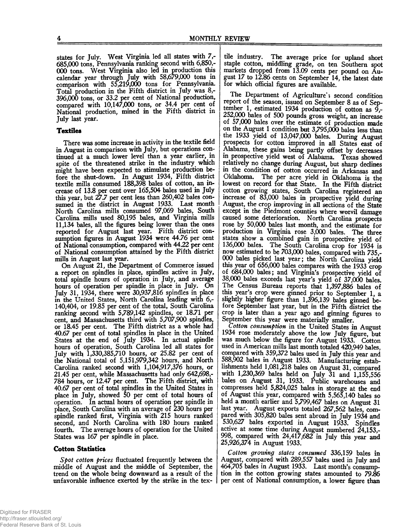states for July. West Virginia led all states with 7,- 685.000 tons, Pennsylvania ranking second with 6,850,- 000 tons. West Virginia also led in production this  $calar$  year through July with 58,679,000 tons in comparison with 55,219,000 tons for Pennsylvania. Total production in the Fifth district in July was 8,- 396.000 tons, or 33.2 per cent of National production, compared with 10,147,000 tons, or 34.4 per cent of National production, mined in the Fifth district in July last year.

#### **Textiles**

There was some increase in activity in the textile field in August in comparison with July, but operations continued at a much lower level than a year earlier, in spite of the threatened strike in the industry which might have been expected to stimulate production before the shut-down. In August 1934, Fifth district textile mills consumed 188,398 bales of cotton, an increase of 13.8 per cent over 165,504 bales used in July this year, but 27.7 per cent less than 260,402 bales consumed in the district in August 1933. Last month North Carolina mills consumed 97,069 bales, South Carolina mills used 80,195 bales, and Virginia mills 11,134 bales, all the figures being lower than the ones reported for August last year. Fifth district consumption figures in August 1934 were 44.76 per cent of National consumption, compared with 44.22 per cent of National consumption attained by the Fifth district mills in August last year.

On August 21, the Department of Commerce issued a report on spindles in place, spindles active in July, total spindle hours of operation in July, and average hours of operation per spindle in place in July. On July 31, 1934, there were 30,937,816 spindles in place in the United States, North Carolina leading with 6,- 140,404, or 19.85 per cent of the total, South Carolina ranking second with 5,789,142 spindles, or 18.71 per cent, and Massachusetts third with 5,707,900 spindles, or 18.45 per cent. The Fifth district as a whole had 40.67 per cent of total spindles in place in the United States at the end of July 1934. In actual spindle hours of operation, South Carolina led all states for July with 1,330,385,710 hours, or 25.82 per cent of the National total of 5,151,979,342 hours, and North Carolina ranked second with 1,104,917,376 hours, or 21.45 per cent, while Massachusetts had only 642,698,- 784 hours, or 12.47 per cent. The Fifth district, with 40.67 per cent of total spindles in the United States in place in July, showed 50 per cent of total hours of operation. In actual hours of operation per spindle in place, South Carolina with an average of 230 hours per spindle ranked first, Virginia with 215 hours ranked second, and North Carolina with 180 hours ranked fourth. The average hours of operation for the United States was 167 per spindle in place.

#### **Cotton Statistics**

*Spot cotton prices* fluctuated frequently between the middle of August and the middle of September, the trend on the whole being downward as a result of the unfavorable influence exerted by the strike in the tex-

tile industry. The average price for upland short staple cotton, middling grade, on ten Southern spot markets dropped from 13.09 cents per pound on August 17 to 12.86 cents on September 14, the latest date for which official figures are available.

The Department of Agriculture's second condition report of the season, issued on September 8 as of September 1, estimated 1934 production of cotton as  $9,$ -252.000 bales of 500 pounds gross weight, an increase of 57,000 bales over the estimate of production made on the August 1 condition but 3,795,000 bales less than the 1933 yield of 13,047,000 bales. During August prospects for cotton improved in all States east of Alabama, these gains being partly offset by decreases in prospective yield west of Alabama. Texas showed relatively no change during August, but sharp declines in the condition of cotton occurred in Arkansas and Oklahoma. The per acre yield in Oklahoma is the lowest on record for that State. In the Fifth district cotton growing states, South Carolina registered an increase of 83,000 bales in prospective yield during August, the crop improving in all sections of the State except in the Piedmont counties where weevil damage caused some deterioration. North Carolina prospects rose by 50,000 bales last month, and the estimate for production in Virginia rose 3,000 bales. The three states show a combined gain in prospective yield of 136.000 bales. The South Carolina crop for 1934 is now estimated to be 703,000 bales, compared with 735,- 000 bales picked last year; the North Carolina yield this year of 656,000 bales compares with the 1933 crop of 684,000 bales; and Virginia's prospective yield of 38.000 bales exceeds last year's yield of 37,000 bales. The Census Bureau reports that 1,397,886 bales of this year's crop were ginned prior to September 1, a slightly higher figure than 1,396,139 bales ginned before September last year, but in the Fifth district the crop is later than a year ago and ginning figures to September this year were materially smaller.

*Cotton consumption* in the United States in August 1934 rose moderately above the low July figure, but was much below the figure for August 1933. Cotton used in American mills last month totaled 420,949 bales, compared with 359,372 bales used in July this year and 588,902 bales in August 1933. Manufacturing establishments held 1,081,218 bales on August 31, compared with 1,230,369 bales held on July 31 and 1,155,556 bales on August 31, 1933. Public warehouses and compresses held 5,824,025 bales in storage at the end of August this year, compared with 5,565,140 bales so held a month earlier and 5,799,467 bales on August 31 last year. August exports totaled 267,562 bales, compared with 305,820 bales sent abroad in July 1934 and 530,627 bales exported in August 1933. Spindles active at some time during August numbered 24,153,- 998, compared with 24,417,682 in July this year and 25,926,374 in August 1933.

*Cotton growing states consumed* 336,159 bales in August, compared with 289,557 bales used in July and 464,705 bales in August 1933. Last month's consumption in the cotton growing states amounted to 79.86 per cent of National consumption, a lower figure than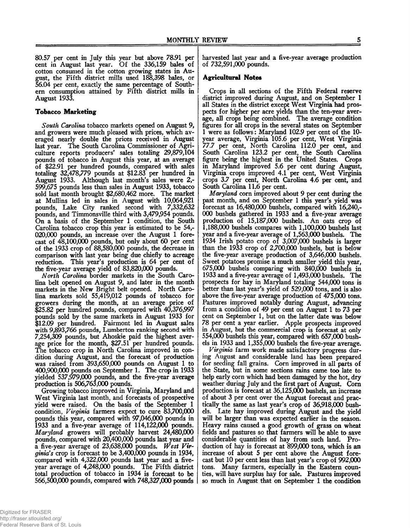80.57 per cent in July this year but above 78.91 per cent in August last year. Of the 336,159 bales of cotton consumed in the cotton growing states in August, the Fifth district mills used 188,398 bales, or 56.04 per cent, exactly the same percentage of Southern consumption attained by Fifth district mills in August 1933.

#### **Tobacco Marketing**

*South Carolina* tobacco markets opened on August 9, and growers were much pleased with prices, which averaged nearly double the prices received in August last year. The South Carolina Commissioner of Agriculture reports producers' sales totaling 29,879,104 pounds of tobacco in August this year, at an average of \$22.91 per hundred pounds, compared with sales totaling 32,478,779 pounds at \$12.83 per hundred in August 1933. Although last month's sales were 2,- 599,675 pounds less than sales in August 1933, tobacco sold last month brought \$2,680,462 more. The market at Mullins led in sales in August with 10,064,921 pounds, Lake City ranked second with 7,332,632 pounds, and Timmonsville third with 3,479,954 pounds. On a basis of the September 1 condition, the South Carolina tobacco crop this year is estimated to be 54,- 020.000 pounds, an increase over the August 1 forecast of 48,100,000 pounds, but only about 60 per cent of the 1933 crop of 88,580,000 pounds, the decrease in comparison with last year being due chiefly to acreage reduction. This year's production is 64 per cent of the five-year average yield of 83,820,000 pounds.

*Aforth Carolina* border markets in the South Carolina belt opened on August 9, and later in the month markets in the New Bright belt opened. North Carolina markets sold 55,419,012 pounds of tobacco for growers during the month, at an average price of \$25.82 per hundred pounds, compared with 40,376,997 pounds sold by the same markets in August 1933 for \$12.09 per hundred. Fairmont led in August sales with 9,893,766 pounds, Lumberton ranking second with 7,254,309 pounds, but Ahoskie paid the highest average price for the month, \$27.51 per hundred pounds. The tobacco crop in North Carolina improved in condition during August, and the forecast of production was raised from 393,650,000 pounds on August 1 to 400.900.000 pounds on September 1. The crop in 1933 yielded 537,979,000 pounds, and the five-year average production is 506,763,000 pounds.

Growing tobacco improved in Virginia, Maryland and West Virginia last month, and forecasts of prospective yield were raised. On the basis of the September 1 condition, *Virginia* farmers expect to cure 83,700,000 pounds this year, compared with 97,046,000 pounds in 1933 and a five-year average of 114,122,000 pounds. *Maryland* growers will probably harvest 24,480,000 pounds, compared with 20,400,000 pounds last year and a five-year average of 23,638,000 pounds. *West Virginia's* crop is forecast to be 3,400,000 pounds in 1934, compared with 4,322,000 pounds last year and a fiveyear average of 4,248,000 pounds. The Fifth district total production of tobacco in 1934 is forecast to be 566.500.000 pounds, compared with 748,327,000 pounds harvested last year and a five-year average production of 732,591,000 pounds.

#### **Agricultural Notes**

Crops in all sections of the Fifth Federal reserve district improved during August, and on September 1 all States in the district except West Virginia had prospects for higher per acre yields than the ten-year average, all crops being combined. The average condition figures for all crops in the several states on September 1 were as follows: Maryland 102.9 per cent of the 10 year average, Virginia 105.6 per cent, West Virginia 77.7 per cent, North Carolina 112.0 per cent, and South Carolina 123.2 per cent, the South Carolina figure being the highest in the United States. Crops in Maryland improved 5.6 per cent during August, Virginia crops improved 4.1 per cent, West Virginia crops 3.7 per cent, North Carolina 4.6 per cent, and South Carolina 11.6 per cent.

*Maryland* corn improved about 9 per cent during the past month, and on September 1 this year's yield was forecast as 16,480,000 bushels, compared with 16,240,- 000 bushels gathered in 1933 and a five-year average production of 15,187,000 bushels. An oats crop of 1.188.000 bushels compares with 1,100,000 bushels last year and a five-year average of 1,563,000 bushels. The 1934 Irish potato crop of 3,007,000 bushels is larger than the 1933 crop of 2,700,000 bushels, but is below the five-year average production of 3,646,000 bushels. Sweet potatoes promise a much smaller yield this year, 675.000 bushels comparing with 840,000 bushels in 1933 and a five-year average of 1,493,000 bushels. The prospects for hay in Maryland totaling 544,000 tons is better than last year's yield of 529,000 tons, and is also above the five-year average production of 475,000 tons. Pastures improved notably during August, advancing from a condition of 49 per cent on August 1 to 73 per cent on September 1, but on the latter date was below 78 per cent a year earlier. Apple prospects improved in August, but the commercial crop is forecast at only 554.000 bushels this year, compared with 657,000 bushels in 1933 and 1,355,000 bushels the five-year average.

*Virginia* farm work made satisfactory progress during August and considerable land has been prepared for seeding fall grains. Corn improved in all parts of the State, but in some sections rains came too late to help early corn which had been damaged by the hot, dry weather during July and the first part of August. Com production is forecast at 36,125,000 bushels, an increase of about 3 per cent over the August forecast and practically the same as last year's crop of 36,918,000 bushels. Late hay improved during August and the yield will be larger than was expected earlier in the season. Heavy rains caused a good growth of grass on wheat fields and pastures so that farmers will be able to save considerable quantities of hay from such land. Production of hay is forecast at 899,000 tons, which is an increase of about 5 per cent above the August forecast but 10 per cent less than last year's crop of 992,000 tons. Many farmers, especially in the Eastern counties, will have surplus hay for sale. Pastures improved so much in August that on September 1 the condition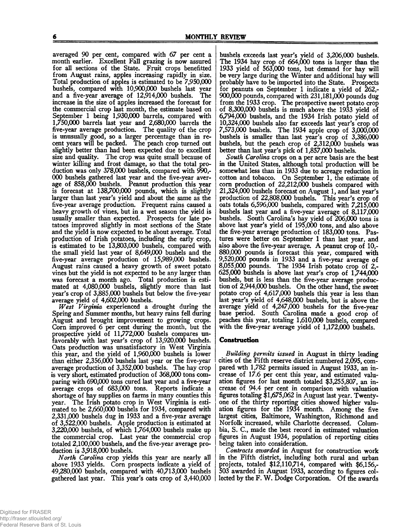averaged 90 per cent, compared with 67 per cent a month earlier. Excellent Fall grazing is now assured for. all sections of the State. Fruit crops benefitted from August rains, apples increasing rapidly in size. Total production of apples is estimated to be 7,950,000 bushels, compared with 10,900,000 bushels last year and a five-year average of 12,914,000 bushels. increase in the size of apples increased the forecast for the commercial crop last month, the estimate based on September 1 being 1,930,000 barrels, compared with 1.750.000 barrels last year and 2,680,000 barrels the five-year average production. The quality of the crop is unusually good, so a larger percentage than in recent years will be packed. The peach crop turned out slightly better than had been expected due to excellent size and quality. The crop was quite small because of winter killing and frost damage, so that the total production was only 378,000 bushels, compared with 990,- 000 bushels gathered last year and the five-year average of 858,000 bushels. Peanut production this year is forecast at 138,700,000 pounds, which is slightly larger than last year's yield and about the same as the five-year average production. Frequent rains caused a heavy growth of vines, but in a wet season the yield is usually smaller than expected. Prospects for late potatoes improved slightly in most sections of the State and the yield is now expected to be about average. Total production of Irish potatoes, including the early crop, is estimated to be 13,803,000 bushels, compared with the small yield last year of 8,649,000 bushels and the five-year average production of 15,989,000 bushels. August rains caused a heavy growth of sweet potato vines but the yield is not expected to be any larger than was forecast a month ago. Total production is estimated at 4,080,000 bushels, slightly more than last year's crop of 3,885,000 bushels but below the five-year average yield of 4,602,000 bushels.

*West Virginia* experienced a drought during the Spring and Summer months, but heavy rains fell during August and brought improvement to growing crops. Corn improved 6 per cent during the month, but the prospective yield of 11,772,000 bushels compares unfavorably with last year's crop of 13,920,000 bushels. Oats production was unsatisfactory in West Virginia this year, and the yield of 1,960,000 bushels is lower than either 2,356,000 bushels last year or the five-year average production of 3,352,000 bushels. The hay crop is very short, estimated production of 368,000 tons comparing with 690,000 tons cured last year and a five-year average crops of 683,000 tons. Reports indicate a shortage of hay supplies on farms in many counties this year. The Irish potato crop in West Virginia is estimated to be 2,660,000 bushels for 1934, compared with 2.331.000 bushels dug in 1933 and a five-year average of 3,522,000 bushels. Apple production is estimated at 3.220.000 bushels, of which 1,764,000 bushels make up the commercial crop. Last year the commercial crop totaled 2,100,000 bushels, and the five-year average production is 3,918,000 bushels.

*North Carolina* crop yields this year are nearly all above 1933 yields. Corn prospects indicate a yield of 49.280.000 bushels, compared with 40,713,000 bushels gathered last year. This year's oats crop of 3,440,000

bushels exceeds last year's yield of 3,206,000 bushels. The 1934 hay crop of 664,000 tons is larger than the 1933 yield of 563,000 tons, but demand for hay will be very large during the Winter and additional hay will probably have to be imported into the State. Prospects for peanuts on September 1 indicate a yield of 262,- 900.000 pounds, compared with 231,181,000 pounds dug from the 1933 crop. The prospective sweet potato crop of 8,300,000 bushels is much above the 1933 yield of 6.794.000 bushels, and the 1934 Irish potato yield of 10.324.000 bushels also far exceeds last year's crop of 7.573.000 bushels. The 1934 apple crop of 3,000,000 bushels is smaller than last year's crop of 3,386,000 bushels, but the peach crop of 2,312,000 bushels was better than last year's pick of 1,857,000 bushels.

*South Carolina* crops on a per acre basis are the best in the United States, although total production will be somewhat less than in 1933 due to acreage reduction in cotton and tobacco. On September 1, the estimate of com production of 22,212,000 bushels compared with 21.324.000 bushels forecast on August 1, and last year's production of 22,808,000 bushels. This year's crop of oats totals 6,596,000 bushels, compared with 7,215,000 bushels last year and a five-year average of 8,117,000 bushels. South Carolina's hay yield of 206,000 tons is above last year's yield of 195,000 tons, and also above the five-year average production of 183,000 tons. Pastures were better on September 1 than last year, and also above the five-year average. A peanut crop of 10,- 880.000 pounds is forecast this year, compared with 9.520.000 pounds in 1933 and a five-year average of 8.055.000 pounds. The 1934 Irish potato crop of 2,- 625.000 bushels is above last year's crop of 1,744,000 bushels, but is less than the five-year average production of 2,944,000 bushels. On the other hand, the sweet potato crop of 4,617,000 bushels this year is less than last year's yield of 4,648,000 bushels, but is above the average yield of 4,247,000 bushels for the five-year base period. South Carolina made a good crop of peaches this year, totaling 1,610,000 bushels, compared with the five-year average yield of 1,172,000 bushels.

#### **Construction**

*Building permits issued* in August in thirty leading cities of the Fifth reserve district numbered 2,095, compared wth 1,782 permits issued in August 1933, an increase of 17.6 per cent this year, and estimated valuation figures for last month totaled \$3,255,807, an increase of 94.4 per cent in comparison with valuation figures totaling \$1,675,062 in August last year. Twentyone of the thirty reporting cities showed higher valuation figures for the 1934 month. Among the five largest cities, Baltimore, Washington, Richmond and Norfolk increased, while Charlotte decreased. Columbia, S. C., made the best record in estimated valuation figures in August 1934, population of reporting cities being taken into consideration.

*Contracts awarded* in August for construction work in the Fifth district, including both rural and urban projects, totaled \$12,110,714, compared with \$6,156,- 503 awarded in August 1933, according to figures collected by the F. W. Dodge Corporation. Of the awards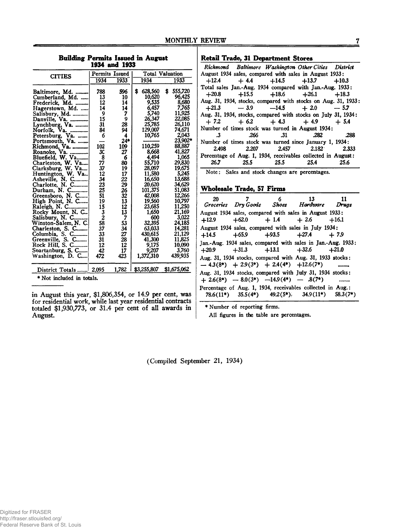**Building Permits Issued in August 1934 and 1933**

|                           | Permits Issued |       | <b>Total Valuation</b> |    |               |
|---------------------------|----------------|-------|------------------------|----|---------------|
| <b>CITIES</b>             | 1934           | 1933  | 1934                   |    | 1933          |
| Baltimore, Md.            | 788            | 596   | \$<br>628,560          | \$ | 555,720       |
| Cumberland, Md.           | 13             | 10    | 10,620                 |    | 96,425        |
| Frederick, Md.            | 12             | 14    | 9,535                  |    | 8,680         |
| Hagerstown, Md.           | 14             | 14    | 6,457                  |    | 7,765         |
|                           | 9              | 7     | 5,740                  |    | 11,925        |
|                           | 15             | 9     | 26,347                 |    | 22,085        |
| Lynchburg, Va.            | 31             | 28    | 25,785                 |    | <b>26,110</b> |
| Norfolk, Va.              | 84             | 94    | 129,007                |    | 74,671        |
| Petersburg, Va.           | 6              | 4     | 10,765                 |    | 2,043         |
| Portsmouth, Va.           |                | $24*$ |                        |    | 23,902*       |
|                           | 102            | 109   | 110,259                |    | 88,887        |
|                           | 30             | 27    | 8,668                  |    | 41,827        |
| Bluefield, W. Va          | 8              | 6     | 4,494                  |    | 1,065         |
| Charleston, W. Va         | 77             | 80    | 55,710                 |    | 29,830        |
| Clarksburg, W. Va         | 37             | 19    | 28,097                 |    | 19,675        |
|                           | 12             | 17    | 11,580                 |    | 5,245         |
|                           | 34             | 22    | 16,650                 |    | 13,688        |
|                           | 23             | 29    | 20,620                 |    | 34,629        |
|                           | 25             | 26    | 101,375                |    | 51,083        |
| Greensboro, N. C          | 51             | 32    | 42,008                 |    | 12,266        |
| High Point, N. C          | 19             | 13    | 19,560                 |    | 10,797        |
| Raleigh, N. C             | 15             | 12    | 23,685                 |    | 11,250        |
| Rocky Mount, N. C.        | 3              | 13    | 1,650                  |    | 21,169        |
| Salisbury, N. C           | $\overline{c}$ | 7     | 600                    |    | 3,022         |
| Winston-Salem, N. C.      | 58             | 53    | 32,395                 |    | 24,185        |
| Charleston, S. C          | 37             | 34    | 63,033                 |    | 14,281        |
| Columbia, S. C            | 33             | 27    | 430,615                |    | 21,129        |
| Greenville, S. C          | 31             | 28    | 41,300                 |    | 11,825        |
| Rock Hill, S. C           | 12             | 12    | 9,175                  |    | 10,090        |
| Spartanburg, S. C         | 42             | 17    | 9,207                  |    | 3,760         |
| Washington, D. C          | 472            | 423   | 1,372,310              |    | 439,935       |
|                           |                | 1,782 | \$3,255,807            |    | \$1,675,062   |
| * Niat inaludad in tatala |                |       |                        |    |               |

\* Not included in totals.

in August this year, \$1,806,354, or 14.9 per cent, was for residential work, while last year residential contracts totaled \$1,930,773, or 31.4 per cent of all awards in August.

**Retail Trade, 31 Department Stores** 

|           |                     | Richmond Baltimore Washington Other Cities District           |      |
|-----------|---------------------|---------------------------------------------------------------|------|
|           |                     | August 1934 sales, compared with sales in August 1933:        |      |
|           |                     | $+12.4$ $+4.4$ $+14.5$ $+13.7$ $+10.3$                        |      |
|           |                     | Total sales Jan.-Aug. 1934 compared with Jan.-Aug. 1933:      |      |
|           |                     | $+20.8$ $+15.5$ $+18.6$ $+26.1$ $+18.3$                       |      |
|           |                     | Aug. 31, 1934, stocks, compared with stocks on Aug. 31, 1933: |      |
|           |                     | $+21.3$ $-3.9$ $-14.5$ $+2.0$ $-5.7$                          |      |
|           |                     | Aug. 31, 1934, stocks, compared with stocks on July 31, 1934: |      |
|           |                     | $+7.2 + 6.2 + 4.3 + 4.9 + 5.4$                                |      |
|           |                     | Number of times stock was turned in August 1934:              |      |
| $\cdot$ 3 | $.266$ $.31$        | - 282                                                         | .288 |
|           |                     | Number of times stock was turned since January 1, 1934:       |      |
|           |                     | 2.498 2.207 2.457 2.182 2.333                                 |      |
|           |                     | Percentage of Aug. 1, 1934, receivables collected in August:  |      |
|           | 26.7 25.5 25.5 25.4 |                                                               | 25.6 |

Note: Sales and stock changes are percentages.

### **Wholesale Trade, 57 Firms\_\_\_\_\_\_\_\_\_\_\_\_\_\_\_\_\_\_\_\_\_**

| 20 | $\overline{7}$ | $\sim$ 6 13<br>Groceries Dry Goods Shoes Hardware Drugs                                                          | 11 |
|----|----------------|------------------------------------------------------------------------------------------------------------------|----|
|    |                | August 1934 sales, compared with sales in August 1933:<br>$+12.9$ $+62.0$ $+1.4$ $+2.6$ $+16.1$                  |    |
|    |                | August 1934 sales, compared with sales in July 1934:<br>$+14.5$ $+65.9$ $+93.5$ $+27.4$ $+7.9$                   |    |
|    |                | Jan.-Aug. 1934 sales, compared with sales in Jan.-Aug. 1933:<br>$+20.9$ $+31.3$ $+13.1$ $+32.6$ $+21.0$          |    |
|    |                | Aug. 31, 1934 stocks, compared with Aug. 31, 1933 stocks:<br>$-4.3(8^*)$ + 2.9(3*) + 2.4(4*) + 12.6(7*) $\ldots$ |    |
|    |                | Aug. 31, 1934 stocks, compared with July 31, 1934 stocks:<br>$+ 2.6(8^*) - 8.0(3^*) -14.9(4^*) - .8(7^*)$        |    |
|    |                | Percentage of Aug. 1, 1934, receivables collected in Aug.:<br>78.6(11*) 35.5(4*) 49.2(5*), 34.9(11*) 58.3(7*)    |    |

♦Number of reporting firms.

All figures in the table are percentages.

(Compiled September 21, 1934)